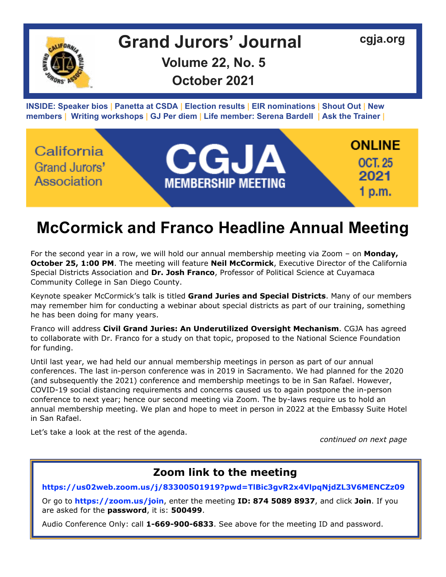

#### **ONLINE** California CGJA **OCT. 25** Grand Jurors' 2021 Association **MEMBERSHIP MEETING** 1 p.m.

# **McCormick and Franco Headline Annual Meeting**

For the second year in a row, we will hold our annual membership meeting via Zoom – on **Monday, October 25, 1:00 PM**. The meeting will feature **Neil McCormick**, Executive Director of the California Special Districts Association and **Dr. Josh Franco**, Professor of Political Science at Cuyamaca Community College in San Diego County.

Keynote speaker McCormick's talk is titled **Grand Juries and Special Districts**. Many of our members may remember him for conducting a webinar about special districts as part of our training, something he has been doing for many years.

Franco will address **Civil Grand Juries: An Underutilized Oversight Mechanism**. CGJA has agreed to collaborate with Dr. Franco for a study on that topic, proposed to the National Science Foundation for funding.

Until last year, we had held our annual membership meetings in person as part of our annual conferences. The last in-person conference was in 2019 in Sacramento. We had planned for the 2020 (and subsequently the 2021) conference and membership meetings to be in San Rafael. However, COVID-19 social distancing requirements and concerns caused us to again postpone the in-person conference to next year; hence our second meeting via Zoom. The by-laws require us to hold an annual membership meeting. We plan and hope to meet in person in 2022 at the Embassy Suite Hotel in San Rafael.

Let's take a look at the rest of the agenda.

*continued on next page*

## **Zoom link to the meeting**

**<https://us02web.zoom.us/j/83300501919?pwd=TlBic3gvR2x4VlpqNjdZL3V6MENCZz09>**

Or go to **<https://zoom.us/join>**, enter the meeting **ID: 874 5089 8937**, and click **Join**. If you are asked for the **password**, it is: **500499**.

Audio Conference Only: call **1-669-900-6833**. See above for the meeting ID and password.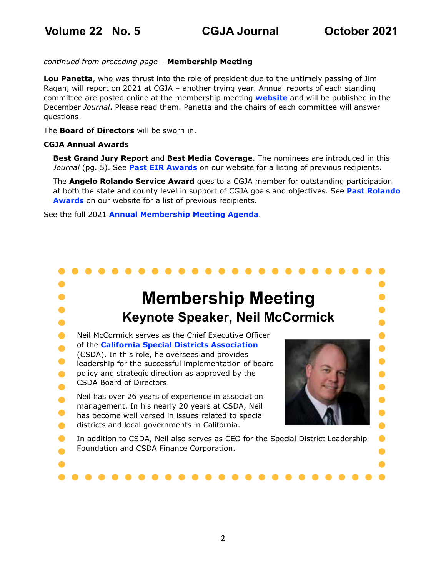$\bullet$ 

 $\bullet$  $\bullet$ 

 $\bullet$  $\bullet$ 

### *continued from preceding page* – **Membership Meeting**

**Lou Panetta**, who was thrust into the role of president due to the untimely passing of Jim Ragan, will report on 2021 at CGJA – another trying year. Annual reports of each standing committee are posted online at the membership meeting **[website](https://cgja.org/annual-conference)** and will be published in the December *Journal*. Please read them. Panetta and the chairs of each committee will answer questions.

The **Board of Directors** will be sworn in.

### **CGJA Annual Awards**

**Best Grand Jury Report** and **Best Media Coverage**. The nominees are introduced in this *Journal* (pg. 5). See **[Past EIR Awards](https://cgja.org/sites/default/files/2019_eir_past_awards_rr.pdf)** on our website for a listing of previous recipients.

The **Angelo Rolando Service Award** goes to a CGJA member for outstanding participation at both the state and county level in support of CGJA goals and objectives. See **[Past Rolando](ttps://cgja.org/sites/default/files/angelo_rolando_award_history.pdf)  [Awards](ttps://cgja.org/sites/default/files/angelo_rolando_award_history.pdf)** on our website for a list of previous recipients.

See the full 2021 **[Annual Membership Meeting Agenda](https://cgja.org/annual-conference)**.

# **Membership Meeting Keynote Speaker, Neil McCormick**

- $\bullet$ Neil McCormick serves as the Chief Executive Officer of the **[California Special Districts Association](https://www.csda.net/home)**  $\bullet$
- (CSDA). In this role, he oversees and provides
- $\bullet$ leadership for the successful implementation of board
- policy and strategic direction as approved by the  $\bullet$
- CSDA Board of Directors.  $\bullet$

Neil has over 26 years of experience in association  $\bullet$ management. In his nearly 20 years at CSDA, Neil

- $\bullet$ has become well versed in issues related to special
- districts and local governments in California.  $\bullet$
- In addition to CSDA, Neil also serves as CEO for the Special District Leadership  $\bullet$ Foundation and CSDA Finance Corporation.
- 

 $\bullet$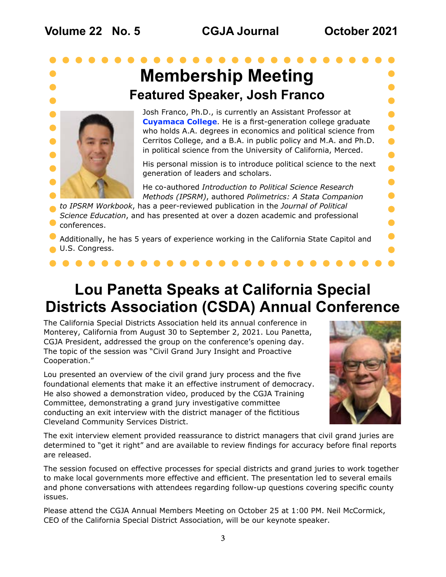$\bullet$ 

 $\blacksquare$ 

# <span id="page-2-0"></span>**Membership Meeting Featured Speaker, Josh Franco**



Josh Franco, Ph.D., is currently an Assistant Professor at **[Cuyamaca College](https://www.cuyamaca.edu/)**. He is a first-generation college graduate who holds A.A. degrees in economics and political science from Cerritos College, and a B.A. in public policy and M.A. and Ph.D. in political science from the University of California, Merced.

His personal mission is to introduce political science to the next generation of leaders and scholars.

He co-authored *Introduction to Political Science Research Methods (IPSRM)*, authored *Polimetrics: A Stata Companion* 

*to IPSRM Workbook*, has a peer-reviewed publication in the *Journal of Political Science Education*, and has presented at over a dozen academic and professional conferences.

Additionally, he has 5 years of experience working in the California State Capitol and U.S. Congress.

## **Lou Panetta Speaks at California Special Districts Association (CSDA) Annual Conference**

The California Special Districts Association held its annual conference in Monterey, California from August 30 to September 2, 2021. Lou Panetta, CGJA President, addressed the group on the conference's opening day. The topic of the session was "Civil Grand Jury Insight and Proactive Cooperation."

Lou presented an overview of the civil grand jury process and the five foundational elements that make it an effective instrument of democracy. He also showed a demonstration video, produced by the CGJA Training Committee, demonstrating a grand jury investigative committee conducting an exit interview with the district manager of the fictitious Cleveland Community Services District.



The exit interview element provided reassurance to district managers that civil grand juries are determined to "get it right" and are available to review findings for accuracy before final reports are released.

The session focused on effective processes for special districts and grand juries to work together to make local governments more effective and efficient. The presentation led to several emails and phone conversations with attendees regarding follow-up questions covering specific county issues.

Please attend the CGJA Annual Members Meeting on October 25 at 1:00 PM. Neil McCormick, CEO of the California Special District Association, will be our keynote speaker.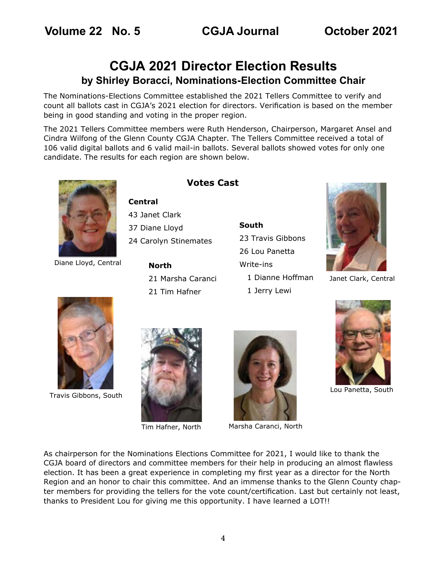## <span id="page-3-0"></span>**CGJA 2021 Director Election Results by Shirley Boracci, Nominations-Election Committee Chair**

The Nominations-Elections Committee established the 2021 Tellers Committee to verify and count all ballots cast in CGJA's 2021 election for directors. Verification is based on the member being in good standing and voting in the proper region.

The 2021 Tellers Committee members were Ruth Henderson, Chairperson, Margaret Ansel and Cindra Wilfong of the Glenn County CGJA Chapter. The Tellers Committee received a total of 106 valid digital ballots and 6 valid mail-in ballots. Several ballots showed votes for only one candidate. The results for each region are shown below.



Diane Lloyd, Central

### **Votes Cast**

**Central**

43 Janet Clark 37 Diane Lloyd 24 Carolyn Stinemates

> **North** 21 Marsha Caranci 21 Tim Hafner

**South** 23 Travis Gibbons 26 Lou Panetta Write-ins 1 Dianne Hoffman 1 Jerry Lewi



Janet Clark, Central

Lou Panetta, South



Travis Gibbons, South





Tim Hafner, North Marsha Caranci, North

As chairperson for the Nominations Elections Committee for 2021, I would like to thank the CGJA board of directors and committee members for their help in producing an almost flawless election. It has been a great experience in completing my first year as a director for the North Region and an honor to chair this committee. And an immense thanks to the Glenn County chapter members for providing the tellers for the vote count/certification. Last but certainly not least, thanks to President Lou for giving me this opportunity. I have learned a LOT!!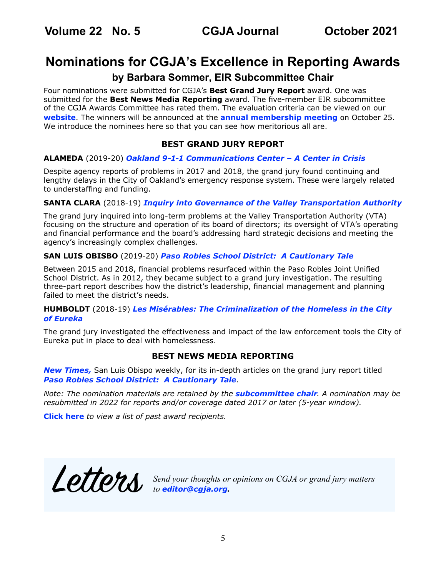## <span id="page-4-0"></span>**Nominations for CGJA's Excellence in Reporting Awards**

### **by Barbara Sommer, EIR Subcommittee Chair**

Four nominations were submitted for CGJA's **Best Grand Jury Report** award. One was submitted for the **Best News Media Reporting** award. The five-member EIR subcommittee of the CGJA Awards Committee has rated them. The evaluation criteria can be viewed on our **[website](http://cgja.org/excellence-reporting-award)**. The winners will be announced at the **[annual membership meeting](https://cgja.org/annual-conference)** on October 25. We introduce the nominees here so that you can see how meritorious all are.

### **BEST GRAND JURY REPORT**

### **ALAMEDA** (2019-20) *[Oakland 9-1-1 Communications Center – A Center in Crisis](http://grandjury.acgov.org/grandjury-assets/docs/2019-2020/Oakland911.pdf)*

Despite agency reports of problems in 2017 and 2018, the grand jury found continuing and lengthy delays in the City of Oakland's emergency response system. These were largely related to understaffing and funding.

### **SANTA CLARA** (2018-19) *[Inquiry into Governance of the Valley Transportation Authority](https://www.scscourt.org/court_divisions/civil/cgj/2019/CGJ%20VTA%20Final%20Report%20-%2006.18.19.pdf )*

The grand jury inquired into long-term problems at the Valley Transportation Authority (VTA) focusing on the structure and operation of its board of directors; its oversight of VTA's operating and financial performance and the board's addressing hard strategic decisions and meeting the agency's increasingly complex challenges.

### **SAN LUIS OBISBO** (2019-20) *[Paso Robles School District: A Cautionary Tale](https://drive.google.com/drive/folders/174NsLyF53ScXYjYoahGrlLL_vAbEps4f)*

Between 2015 and 2018, financial problems resurfaced within the Paso Robles Joint Unified School District. As in 2012, they became subject to a grand jury investigation. The resulting three-part report describes how the district's leadership, financial management and planning failed to meet the district's needs.

### **HUMBOLDT** (2018-19) *[Les Misérables: The Criminalization of the Homeless in the City](https://humboldtgov.org/DocumentCenter/View/73546/Les-Miserables-The-Criminalization-of-the-Homeless-in-the-City-of-Eureka---Humboldt-County-Civil-Grand-Jury?bidId=)  [of Eureka](https://humboldtgov.org/DocumentCenter/View/73546/Les-Miserables-The-Criminalization-of-the-Homeless-in-the-City-of-Eureka---Humboldt-County-Civil-Grand-Jury?bidId=)*

The grand jury investigated the effectiveness and impact of the law enforcement tools the City of Eureka put in place to deal with homelessness.

### **BEST NEWS MEDIA REPORTING**

*[New Times](https://www.newtimesslo.com/),* San Luis Obispo weekly, for its in-depth articles on the grand jury report titled *[Paso Robles School District: A Cautionary Tale](https://drive.google.com/drive/folders/174NsLyF53ScXYjYoahGrlLL_vAbEps4f)*.

*Note: The nomination materials are retained by the [subcommittee chair](mailto:basommer%40ucdavis.edu?subject=CGJA%20EIR). A nomination may be resubmitted in 2022 for reports and/or coverage dated 2017 or later (5-year window).*

**[Click here](https://cgja.org/sites/default/files/awardmatrix-2020.pdf)** *to view a list of past award recipients.*

Letters *Send your thoughts or opinions on CGJA or grand jury matters to editor@cgja.org***.**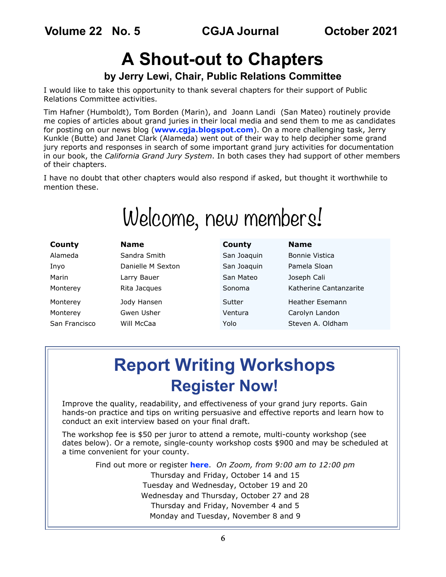<span id="page-5-0"></span>**Volume 22 No. 5 CGJA Journal October 2021**

# **A Shout-out to Chapters**

## **by Jerry Lewi, Chair, Public Relations Committee**

I would like to take this opportunity to thank several chapters for their support of Public Relations Committee activities.

Tim Hafner (Humboldt), Tom Borden (Marin), and Joann Landi (San Mateo) routinely provide me copies of articles about grand juries in their local media and send them to me as candidates for posting on our news blog (**[www.cgja.blogspot.com](http://www.cgja.blogspot.com)**). On a more challenging task, Jerry Kunkle (Butte) and Janet Clark (Alameda) went out of their way to help decipher some grand jury reports and responses in search of some important grand jury activities for documentation in our book, the *California Grand Jury System*. In both cases they had support of other members of their chapters.

I have no doubt that other chapters would also respond if asked, but thought it worthwhile to mention these.

# Welcome, new members!

| County        | <b>Name</b>       | County      | <b>Name</b>            |
|---------------|-------------------|-------------|------------------------|
| Alameda       | Sandra Smith      | San Joaquin | <b>Bonnie Vistica</b>  |
| Inyo          | Danielle M Sexton | San Joaquin | Pamela Sloan           |
| Marin         | Larry Bauer       | San Mateo   | Joseph Cali            |
| Monterey      | Rita Jacques      | Sonoma      | Katherine Cantanzarite |
| Monterey      | Jody Hansen       | Sutter      | Heather Esemann        |
| Monterey      | Gwen Usher        | Ventura     | Carolyn Landon         |
| San Francisco | Will McCaa        | Yolo        | Steven A. Oldham       |
|               |                   |             |                        |

# **Report Writing Workshops Register Now!**

Improve the quality, readability, and effectiveness of your grand jury reports. Gain hands-on practice and tips on writing persuasive and effective reports and learn how to conduct an exit interview based on your final draft.

The workshop fee is \$50 per juror to attend a remote, multi-county workshop (see dates below). Or a remote, single-county workshop costs \$900 and may be scheduled at a time convenient for your county.

Find out more or register **[here](https://cgja.org/fall-2021-report-writing-workshops)**. *On Zoom, from 9:00 am to 12:00 pm*  Thursday and Friday, October 14 and 15 Tuesday and Wednesday, October 19 and 20 Wednesday and Thursday, October 27 and 28 Thursday and Friday, November 4 and 5 Monday and Tuesday, November 8 and 9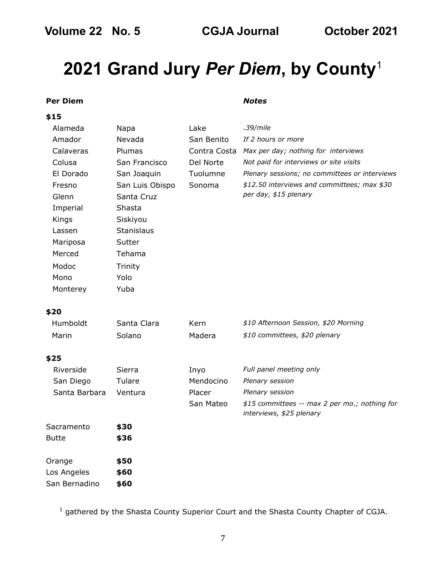# <span id="page-6-0"></span>**2021 Grand Jury** *Per Diem***, by County**<sup>1</sup>

### **Per Diem** *Notes*

#### **\$15**

| Alameda   | Napa              | Lake         | .39/mile                                      |
|-----------|-------------------|--------------|-----------------------------------------------|
| Amador    | Nevada            | San Benito   | If 2 hours or more                            |
| Calaveras | Plumas            | Contra Costa | Max per day; nothing for interviews           |
| Colusa    | San Francisco     | Del Norte    | Not paid for interviews or site visits        |
| El Dorado | San Joaquin       | Tuolumne     | Plenary sessions; no committees or interviews |
| Fresno    | San Luis Obispo   | Sonoma       | \$12.50 interviews and committees; max \$30   |
| Glenn     | Santa Cruz        |              | per day, \$15 plenary                         |
| Imperial  | Shasta            |              |                                               |
| Kings     | Siskiyou          |              |                                               |
| Lassen    | <b>Stanislaus</b> |              |                                               |
| Mariposa  | Sutter            |              |                                               |
| Merced    | Tehama            |              |                                               |
| Modoc     | Trinity           |              |                                               |
| Mono      | Yolo              |              |                                               |
| Monterey  | Yuba              |              |                                               |
|           |                   |              |                                               |

### **\$20**

| Humboldt      | Santa Clara | Kern      | \$10 Afternoon Session, \$20 Morning                                      |
|---------------|-------------|-----------|---------------------------------------------------------------------------|
| Marin         | Solano      | Madera    | \$10 committees, \$20 plenary                                             |
| \$25          |             |           |                                                                           |
| Riverside     | Sierra      | Inyo      | Full panel meeting only                                                   |
| San Diego     | Tulare      | Mendocino | Plenary session                                                           |
| Santa Barbara | Ventura     | Placer    | Plenary session                                                           |
|               |             | San Mateo | \$15 committees -- max 2 per mo.; nothing for<br>interviews, \$25 plenary |
| Sacramento    | \$30        |           |                                                                           |
| Butte         | \$36        |           |                                                                           |
| Orange        | \$50        |           |                                                                           |
| Los Angeles   | \$60        |           |                                                                           |
| San Bernadino | \$60        |           |                                                                           |

 $^1$  gathered by the Shasta County Superior Court and the Shasta County Chapter of CGJA.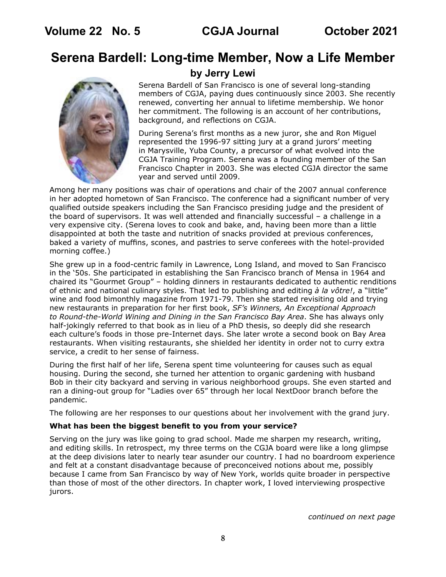## <span id="page-7-0"></span>**Serena Bardell: Long-time Member, Now a Life Member**



### **by Jerry Lewi**

Serena Bardell of San Francisco is one of several long-standing members of CGJA, paying dues continuously since 2003. She recently renewed, converting her annual to lifetime membership. We honor her commitment. The following is an account of her contributions, background, and reflections on CGJA.

During Serena's first months as a new juror, she and Ron Miguel represented the 1996-97 sitting jury at a grand jurors' meeting in Marysville, Yuba County, a precursor of what evolved into the CGJA Training Program. Serena was a founding member of the San Francisco Chapter in 2003. She was elected CGJA director the same year and served until 2009.

Among her many positions was chair of operations and chair of the 2007 annual conference in her adopted hometown of San Francisco. The conference had a significant number of very qualified outside speakers including the San Francisco presiding judge and the president of the board of supervisors. It was well attended and financially successful – a challenge in a very expensive city. (Serena loves to cook and bake, and, having been more than a little disappointed at both the taste and nutrition of snacks provided at previous conferences, baked a variety of muffins, scones, and pastries to serve conferees with the hotel-provided morning coffee.)

She grew up in a food-centric family in Lawrence, Long Island, and moved to San Francisco in the '50s. She participated in establishing the San Francisco branch of Mensa in 1964 and chaired its "Gourmet Group" – holding dinners in restaurants dedicated to authentic renditions of ethnic and national culinary styles. That led to publishing and editing *à la vôtre!*, a "little" wine and food bimonthly magazine from 1971-79. Then she started revisiting old and trying new restaurants in preparation for her first book, *SF's Winners, An Exceptional Approach to Round-the-World Wining and Dining in the San Francisco Bay Area*. She has always only half-jokingly referred to that book as in lieu of a PhD thesis, so deeply did she research each culture's foods in those pre-Internet days. She later wrote a second book on Bay Area restaurants. When visiting restaurants, she shielded her identity in order not to curry extra service, a credit to her sense of fairness.

During the first half of her life, Serena spent time volunteering for causes such as equal housing. During the second, she turned her attention to organic gardening with husband Bob in their city backyard and serving in various neighborhood groups. She even started and ran a dining-out group for "Ladies over 65" through her local NextDoor branch before the pandemic.

The following are her responses to our questions about her involvement with the grand jury.

### **What has been the biggest benefit to you from your service?**

Serving on the jury was like going to grad school. Made me sharpen my research, writing, and editing skills. In retrospect, my three terms on the CGJA board were like a long glimpse at the deep divisions later to nearly tear asunder our country. I had no boardroom experience and felt at a constant disadvantage because of preconceived notions about me, possibly because I came from San Francisco by way of New York, worlds quite broader in perspective than those of most of the other directors. In chapter work, I loved interviewing prospective jurors.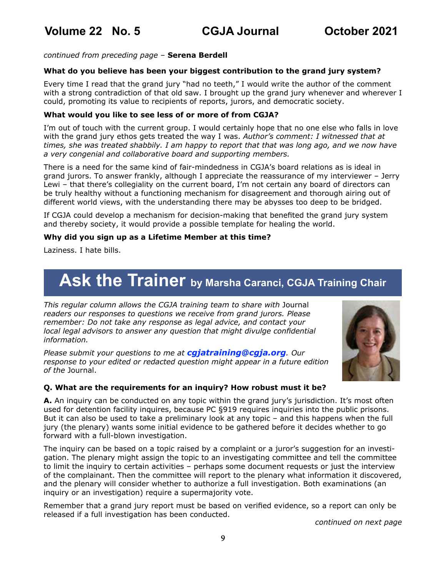<span id="page-8-0"></span>*continued from preceding page* – **Serena Berdell**

### **What do you believe has been your biggest contribution to the grand jury system?**

Every time I read that the grand jury "had no teeth," I would write the author of the comment with a strong contradiction of that old saw. I brought up the grand jury whenever and wherever I could, promoting its value to recipients of reports, jurors, and democratic society.

### **What would you like to see less of or more of from CGJA?**

I'm out of touch with the current group. I would certainly hope that no one else who falls in love with the grand jury ethos gets treated the way I was. *Author's comment: I witnessed that at times, she was treated shabbily. I am happy to report that that was long ago, and we now have a very congenial and collaborative board and supporting members.*

There is a need for the same kind of fair-mindedness in CGJA's board relations as is ideal in grand jurors. To answer frankly, although I appreciate the reassurance of my interviewer – Jerry Lewi – that there's collegiality on the current board, I'm not certain any board of directors can be truly healthy without a functioning mechanism for disagreement and thorough airing out of different world views, with the understanding there may be abysses too deep to be bridged.

If CGJA could develop a mechanism for decision-making that benefited the grand jury system and thereby society, it would provide a possible template for healing the world.

### **Why did you sign up as a Lifetime Member at this time?**

Laziness. I hate bills.

# Ask the Trainer by Marsha Caranci, CGJA Training Chair

*This regular column allows the CGJA training team to share with* Journal *readers our responses to questions we receive from grand jurors. Please remember: Do not take any response as legal advice, and contact your local legal advisors to answer any question that might divulge confidential information.* 

*Please submit your questions to me at [cgjatraining@cgja.org](mailto:cgjatraining%40cgja.org?subject=CGJA%20Training). Our response to your edited or redacted question might appear in a future edition of the* Journal.



### **Q. What are the requirements for an inquiry? How robust must it be?**

**A.** An inquiry can be conducted on any topic within the grand jury's jurisdiction. It's most often used for detention facility inquires, because PC §919 requires inquiries into the public prisons. But it can also be used to take a preliminary look at any topic – and this happens when the full jury (the plenary) wants some initial evidence to be gathered before it decides whether to go forward with a full-blown investigation.

The inquiry can be based on a topic raised by a complaint or a juror's suggestion for an investigation. The plenary might assign the topic to an investigating committee and tell the committee to limit the inquiry to certain activities – perhaps some document requests or just the interview of the complainant. Then the committee will report to the plenary what information it discovered, and the plenary will consider whether to authorize a full investigation. Both examinations (an inquiry or an investigation) require a supermajority vote.

Remember that a grand jury report must be based on verified evidence, so a report can only be released if a full investigation has been conducted.

*continued on next page*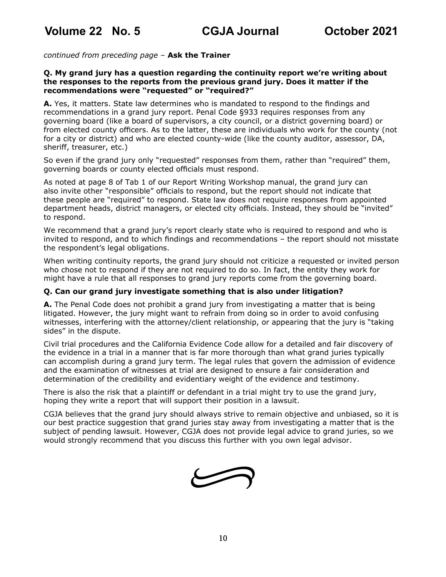*continued from preceding page* – **Ask the Trainer**

### **Q. My grand jury has a question regarding the continuity report we're writing about the responses to the reports from the previous grand jury. Does it matter if the recommendations were "requested" or "required?"**

**A.** Yes, it matters. State law determines who is mandated to respond to the findings and recommendations in a grand jury report. Penal Code §933 requires responses from any governing board (like a board of supervisors, a city council, or a district governing board) or from elected county officers. As to the latter, these are individuals who work for the county (not for a city or district) and who are elected county-wide (like the county auditor, assessor, DA, sheriff, treasurer, etc.)

So even if the grand jury only "requested" responses from them, rather than "required" them, governing boards or county elected officials must respond.

As noted at page 8 of Tab 1 of our Report Writing Workshop manual, the grand jury can also invite other "responsible" officials to respond, but the report should not indicate that these people are "required" to respond. State law does not require responses from appointed department heads, district managers, or elected city officials. Instead, they should be "invited" to respond.

We recommend that a grand jury's report clearly state who is required to respond and who is invited to respond, and to which findings and recommendations – the report should not misstate the respondent's legal obligations.

When writing continuity reports, the grand jury should not criticize a requested or invited person who chose not to respond if they are not required to do so. In fact, the entity they work for might have a rule that all responses to grand jury reports come from the governing board.

### **Q. Can our grand jury investigate something that is also under litigation?**

**A.** The Penal Code does not prohibit a grand jury from investigating a matter that is being litigated. However, the jury might want to refrain from doing so in order to avoid confusing witnesses, interfering with the attorney/client relationship, or appearing that the jury is "taking sides" in the dispute.

Civil trial procedures and the California Evidence Code allow for a detailed and fair discovery of the evidence in a trial in a manner that is far more thorough than what grand juries typically can accomplish during a grand jury term. The legal rules that govern the admission of evidence and the examination of witnesses at trial are designed to ensure a fair consideration and determination of the credibility and evidentiary weight of the evidence and testimony.

There is also the risk that a plaintiff or defendant in a trial might try to use the grand jury, hoping they write a report that will support their position in a lawsuit.

CGJA believes that the grand jury should always strive to remain objective and unbiased, so it is our best practice suggestion that grand juries stay away from investigating a matter that is the subject of pending lawsuit. However, CGJA does not provide legal advice to grand juries, so we would strongly recommend that you discuss this further with you own legal advisor.